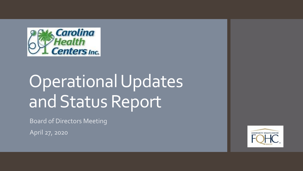

# Operational Updates and Status Report

Board of Directors Meeting

April 27, 2020

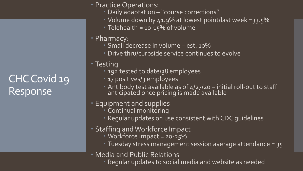# CHC Covid 19 Response

- **Practice Operations:** 
	- Daily adaptation "course corrections"
	- Volume down by 41.9% at lowest point/last week =33.5%
	- Telehealth = 10-15% of volume
- Pharmacy:
	- Small decrease in volume est. 10%
	- Drive thru/curbside service continues to evolve
- Testing
	- **192 tested to date/38 employees**
	- **17 positives/3 employees**
	- Antibody test available as of  $4/27/20 -$  initial roll-out to staff anticipated once pricing is made available
- Equipment and supplies
	- Continual monitoring
	- Regular updates on use consistent with CDC guidelines
- Staffing and Workforce Impact
	- · Workforce impact = 20-25%
	- Tuesday stress management session average attendance = 35
- Media and Public Relations
	- . Regular updates to social media and website as needed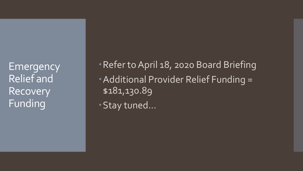**Emergency** Relief and Recovery Funding

Refer to April 18, 2020 Board Briefing Additional Provider Relief Funding = \$181,130.89

Stay tuned…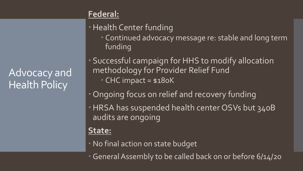# Advocacy and Health Policy

## **Federal:**

## Health Center funding

 Continued advocacy message re: stable and long term funding

 Successful campaign for HHS to modify allocation methodology for Provider Relief Fund CHC impact = \$180K

- Ongoing focus on relief and recovery funding
- HRSA has suspended health center OSVs but 340B audits are ongoing

#### **State:**

- No final action on state budget
- General Assembly to be called back on or before 6/14/20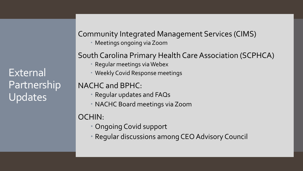External Partnership Updates

Community Integrated Management Services (CIMS) Meetings ongoing via Zoom

#### South Carolina Primary Health Care Association (SCPHCA)

- Regular meetings via Webex
- Weekly Covid Response meetings

#### NACHC and BPHC:

- Regular updates and FAQs
- NACHC Board meetings via Zoom

## OCHIN:

- Ongoing Covid support
- Regular discussions among CEO Advisory Council